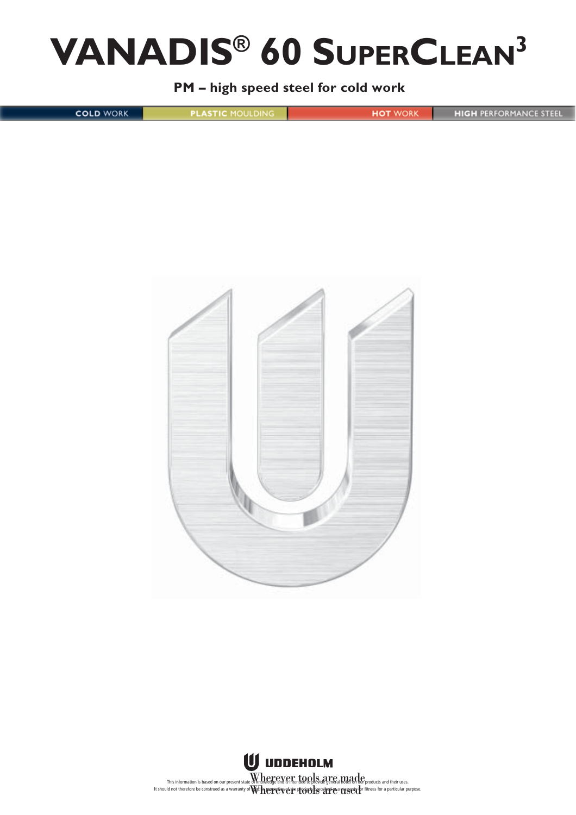# **VANADIS® 60 SUPERCLEAN3**

**PM – high speed steel for cold work**

**COLD WORK** 

**PLASTIC MOULDING** 

**HIGH PERFORMANCE STEEL** 

**HOT** WORK



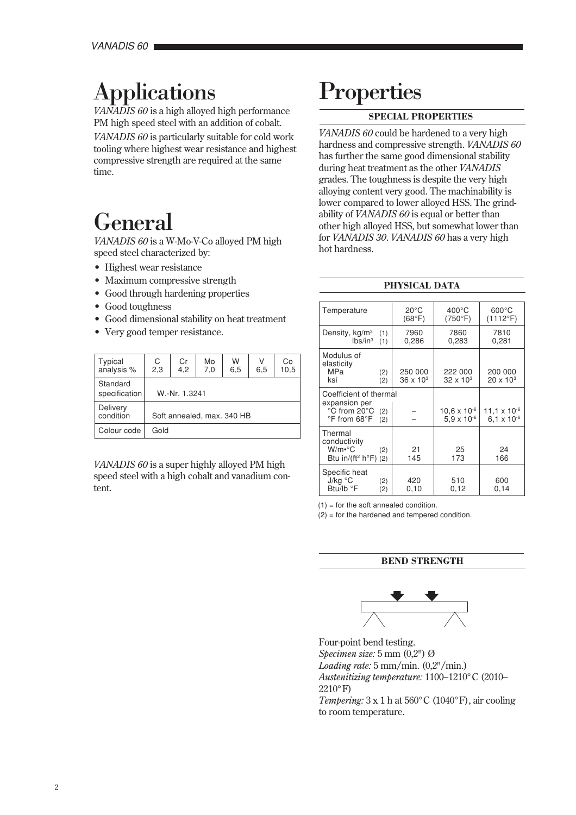# Applications

*VANADIS 60* is a high alloyed high performance PM high speed steel with an addition of cobalt.

*VANADIS 60* is particularly suitable for cold work tooling where highest wear resistance and highest compressive strength are required at the same time.

# General

*VANADIS 60* is a W-Mo-V-Co alloyed PM high speed steel characterized by:

- Highest wear resistance
- Maximum compressive strength
- Good through hardening properties
- Good toughness
- Good dimensional stability on heat treatment
- Very good temper resistance.

| Typical<br>analysis %     | $C$ <sub>2,3</sub>         | $_{4,2}^{\text{Cr}}$ | Mo<br>7,0 | W<br>6, 5 | V<br>6,5 | Сo<br>10,5 |
|---------------------------|----------------------------|----------------------|-----------|-----------|----------|------------|
| Standard<br>specification | W.-Nr. 1.3241              |                      |           |           |          |            |
| Delivery<br>condition     | Soft annealed, max. 340 HB |                      |           |           |          |            |
| Colour code               | Gold                       |                      |           |           |          |            |

*VANADIS 60* is a super highly alloyed PM high speed steel with a high cobalt and vanadium content.

# **Properties**

# **SPECIAL PROPERTIES**

*VANADIS 60* could be hardened to a very high hardness and compressive strength. *VANADIS 60* has further the same good dimensional stability during heat treatment as the other *VANADIS* grades. The toughness is despite the very high alloying content very good. The machinability is lower compared to lower alloyed HSS. The grindability of *VANADIS 60* is equal or better than other high alloyed HSS, but somewhat lower than for *VANADIS 30*. *VANADIS 60* has a very high hot hardness.

# **PHYSICAL DATA**

| Temperature                                                                                                                | $20^{\circ}$ C<br>(68°F)      | $400^{\circ}$ C<br>(750°F)                    | $600^{\circ}$ C<br>(1112°F)                     |
|----------------------------------------------------------------------------------------------------------------------------|-------------------------------|-----------------------------------------------|-------------------------------------------------|
| Density, kg/m <sup>3</sup><br>(1)<br>$lbs/in^3$<br>(1)                                                                     | 7960<br>0,286                 | 7860<br>0,283                                 | 7810<br>0.281                                   |
| Modulus of<br>elasticity<br>MPa<br>(2)<br>ksi<br>(2)                                                                       | 250 000<br>$36 \times 10^{3}$ | 222 000<br>$32 \times 10^{3}$                 | 200 000<br>$20 \times 10^{3}$                   |
| Coefficient of thermal<br>expansion per<br>°C from 20°C<br>(2)<br>$\mathrm{^{\circ}F}$ from 68 $\mathrm{^{\circ}F}$<br>(2) |                               | $10.6 \times 10^{-6}$<br>$5.9 \times 10^{-6}$ | $11.1 \times 10^{-6}$<br>6.1 x 10 <sup>-6</sup> |
| Thermal<br>conductivity<br>$W/m \cdot ^{\circ}C$<br>(2)<br>Btu in/(ft <sup>2</sup> h°F) (2)                                | 21<br>145                     | 25<br>173                                     | 24<br>166                                       |
| Specific heat<br>J/kg °C<br>(2)<br>Btu/lb °F<br>(2)                                                                        | 420<br>0,10                   | 510<br>0,12                                   | 600<br>0,14                                     |

 $(1)$  = for the soft annealed condition.

 $(2)$  = for the hardened and tempered condition.

# **BEND STRENGTH**



Four-point bend testing. *Specimen size:* 5 mm (0,2") Ø *Loading rate:* 5 mm/min. (0,2"/min.) *Austenitizing temperature:* 1100–1210°C (2010– 2210°F)

*Tempering:*  $3 \times 1$  h at  $560^{\circ}$ C (1040 $^{\circ}$ F), air cooling to room temperature.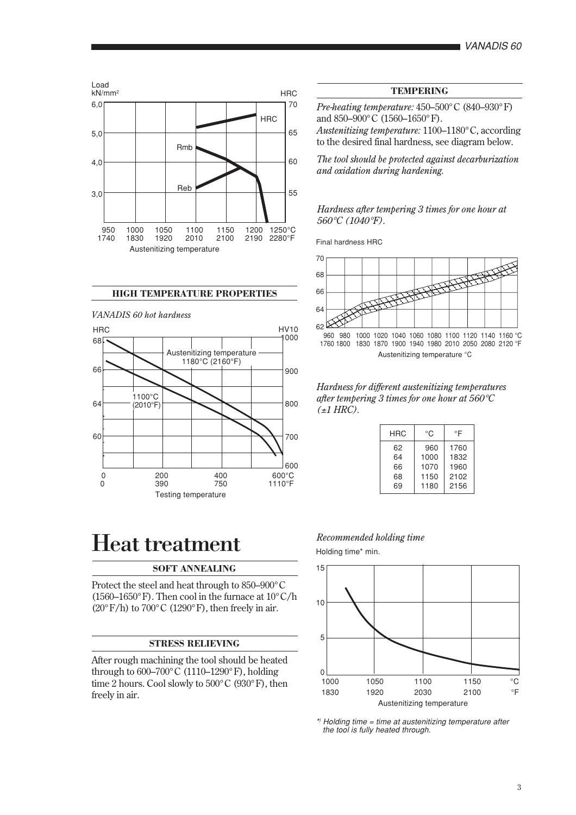

# **HIGH TEMPERATURE PROPERTIES**



# Heat treatment

# **SOFT ANNEALING**

Protect the steel and heat through to 850–900°C (1560–1650°F). Then cool in the furnace at 10°C/h  $(20^{\circ} F/h)$  to  $700^{\circ} C$  (1290°F), then freely in air.

# **STRESS RELIEVING**

After rough machining the tool should be heated through to  $600-700^{\circ}$ C (1110–1290°F), holding time 2 hours. Cool slowly to 500°C (930°F), then freely in air.

# **TEMPERING**

*Pre-heating temperature:* 450–500°C (840–930°F) and 850–900°C (1560–1650°F).

*Austenitizing temperature:* 1100–1180°C, according to the desired final hardness, see diagram below.

*The tool should be protected against decarburization and oxidation during hardening.*

*Hardness after tempering 3 times for one hour at 560*°*C (1040*°*F).*

Final hardness HRC



*Hardness for different austenitizing temperatures after tempering 3 times for one hour at 560*°*C (*±*1 HRC).*

| HRC | °C   | °F   |
|-----|------|------|
| 62  | 960  | 1760 |
| 64  | 1000 | 1832 |
| 66  | 1070 | 1960 |
| 68  | 1150 | 2102 |
| 69  | 1180 | 2156 |

### *Recommended holding time*

Holding time\* min.



\* ) Holding time = time at austenitizing temperature after the tool is fully heated through.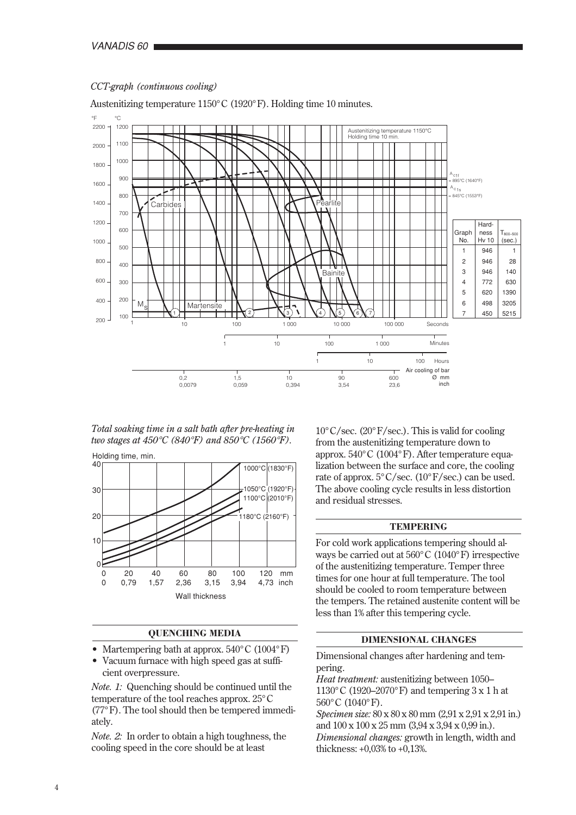

## *CCT-graph (continuous cooling)*

Austenitizing temperature 1150°C (1920°F). Holding time 10 minutes.

*Total soaking time in a salt bath after pre-heating in two stages at 450*°*C (840*°*F) and 850*°*C (1560*°*F).*

Holding time, min.



# **QUENCHING MEDIA**

- Martempering bath at approx. 540°C (1004°F)
- Vacuum furnace with high speed gas at sufficient overpressure.

*Note. 1:* Quenching should be continued until the temperature of the tool reaches approx. 25°C (77°F). The tool should then be tempered immediately.

*Note. 2:* In order to obtain a high toughness, the cooling speed in the core should be at least

 $10^{\circ}$ C/sec. (20°F/sec.). This is valid for cooling from the austenitizing temperature down to approx. 540°C (1004°F). After temperature equalization between the surface and core, the cooling rate of approx.  $5^{\circ}$  C/sec. (10<sup> $\circ$ </sup> F/sec.) can be used. The above cooling cycle results in less distortion and residual stresses.

## **TEMPERING**

For cold work applications tempering should always be carried out at 560°C (1040°F) irrespective of the austenitizing temperature. Temper three times for one hour at full temperature. The tool should be cooled to room temperature between the tempers. The retained austenite content will be less than 1% after this tempering cycle.

# **DIMENSIONAL CHANGES**

Dimensional changes after hardening and tempering.

*Heat treatment:* austenitizing between 1050– 1130°C (1920–2070°F) and tempering 3 x 1 h at 560°C (1040°F).

*Specimen size:* 80 x 80 x 80 mm (2,91 x 2,91 x 2,91 in.) and 100 x 100 x 25 mm (3,94 x 3,94 x 0,99 in.). *Dimensional changes:* growth in length, width and thickness: +0,03% to +0,13%.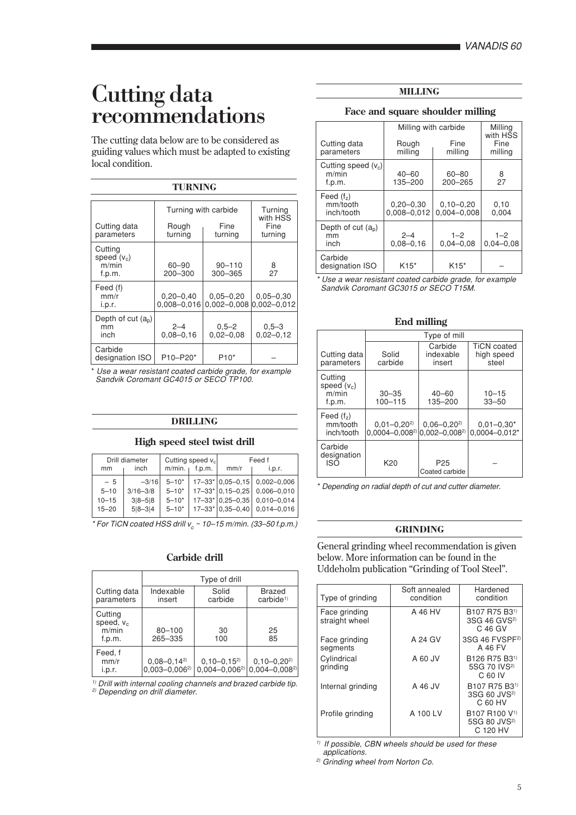# Cutting data recommendations

The cutting data below are to be considered as guiding values which must be adapted to existing local condition.

# **TURNING** Turning with carbide Turning<br>with HSS<br>Fine Cutting data **Rough Fine** Fine<br>parameters turning turning turning parameters | turning **Cutting** speed  $(v_c)$ <br>m/min m/min 60–90 90–110 8<br>f.p.m. 200–300 300–365 27 300–365 Feed (f)<br>mm/r mm/r  $0,20-0,40 \nvert 0,05-0,20 \nvert 0,05-0,30$ <br>i.p.r.  $0.008-0.016 \nvert 0.002-0.008 \nvert 0.002-0.012$  $0.002 - 0.008$ Depth of cut  $(a_p)$ <br>mm mm 2–4 0,5–2 0,5–3  $\frac{1}{10}$  0.08–0.16 0.02–0.08 0.02–0.12

Use a wear resistant coated carbide grade, for example Sandvik Coromant GC4015 or SECO TP100.

designation ISO | P10-P20\* | P10\*

Carbide

# **High speed steel twist drill DRILLING**

| Drill diameter<br>inch<br>mm |                                            | Cutting speed $v_c$<br>$m/min.$ f.p.m.                |                                                  | Feed f<br>mm/r<br>i.D.r. |                                                                                                                                                          |                                                                          |
|------------------------------|--------------------------------------------|-------------------------------------------------------|--------------------------------------------------|--------------------------|----------------------------------------------------------------------------------------------------------------------------------------------------------|--------------------------------------------------------------------------|
|                              | $-5$<br>$5 - 10$<br>$10 - 15$<br>$15 - 20$ | $-3/16$<br>$3/16 - 3/8$<br>$3 8 - 5 8$<br>$5 8 - 3 4$ | $5 - 10*$<br>$5 - 10*$<br>$5 - 10*$<br>$5 - 10*$ |                          | $17 - 33$ <sup>*</sup>   0.05 - 0.15  <br>$17 - 33$ <sup>*</sup> 0.15 - 0.25<br>$17 - 33$ <sup>*</sup> 0.25 - 0.35<br>$17 - 33$ <sup>*</sup> 0.35 - 0.40 | $0,002 - 0,006$<br>$0,006 - 0,010$<br>$0,010 - 0,014$<br>$0.014 - 0.016$ |

 $*$  For TiCN coated HSS drill  $v_c \sim 10-15$  m/min. (33–50 f.p.m.)

# **Carbide drill**

|                                            | Type of drill                            |                                            |                                            |  |  |
|--------------------------------------------|------------------------------------------|--------------------------------------------|--------------------------------------------|--|--|
| Cutting data<br>parameters                 | Indexable<br>insert                      | Solid<br>carbide                           | <b>Brazed</b><br>carbide <sup>1</sup>      |  |  |
| Cutting<br>speed, $v_c$<br>m/min<br>f.p.m. | $80 - 100$<br>265-335                    | 30<br>100                                  | 25<br>85                                   |  |  |
| Feed, f<br>mm/r<br>i.p.r.                  | $0.08 - 0.14^{2}$<br>$0,003 - 0,006^{2}$ | $0, 10 - 0, 15^{2}$<br>$0.004 - 0.006^{2}$ | $0, 10 - 0, 20^{2}$<br>$0.004 - 0.008^{2}$ |  |  |

1) Drill with internal cooling channels and brazed carbide tip. 2) Depending on drill diameter.

# **MILLING**

# **Face and square shoulder milling**

| Cutting data                             | Milling with carbide<br>Rough    | Milling<br>with HSS<br>Fine      |                          |
|------------------------------------------|----------------------------------|----------------------------------|--------------------------|
| parameters                               | milling                          | milling                          | milling                  |
| Cutting speed $(v_c)$<br>m/min<br>f.p.m. | $40 - 60$<br>135-200             | $60 - 80$<br>200-265             | 8<br>27                  |
| Feed $(fz)$<br>mm/tooth<br>inch/tooth    | $0,20 - 0,30$<br>$0.008 - 0.012$ | $0.10 - 0.20$<br>$0.004 - 0.008$ | 0,10<br>0.004            |
| Depth of cut $(a_n)$<br>mm<br>inch       | $2 - 4$<br>$0.08 - 0.16$         | $1 - 2$<br>$0.04 - 0.08$         | $1 - 2$<br>$0.04 - 0.08$ |
| Carbide<br>designation ISO               | $K15*$                           | $K15*$                           |                          |

\* Use a wear resistant coated carbide grade, for example Sandvik Coromant GC3015 or SECO T15M.

|                                             | Type of mill                              |                                          |                                           |  |  |
|---------------------------------------------|-------------------------------------------|------------------------------------------|-------------------------------------------|--|--|
| Cutting data<br>parameters                  | Solid<br>carbide                          | Carbide<br>indexable<br>insert           | <b>TiCN</b> coated<br>high speed<br>steel |  |  |
| Cutting<br>speed $(v_c)$<br>m/min<br>f.p.m. | $30 - 35$<br>100-115                      | $40 - 60$<br>135-200                     | $10 - 15$<br>$33 - 50$                    |  |  |
| Feed $(fz)$<br>mm/tooth<br>inch/tooth       | $0.01 - 0.20^{2}$<br>$0.0004 - 0.008^{2}$ | $0.06 - 0.20^{2}$<br>$0.002 - 0.008^{2}$ | $0.01 - 0.30*$<br>$0.0004 - 0.012*$       |  |  |
| Carbide<br>designation<br>ISO               | K20                                       | P <sub>25</sub><br>Coated carbide        |                                           |  |  |

# **End milling**

\* Depending on radial depth of cut and cutter diameter.

# **GRINDING**

General grinding wheel recommendation is given below. More information can be found in the Uddeholm publication "Grinding of Tool Steel".

| Type of grinding                | Soft annealed<br>condition | Hardened<br>condition                                                                                 |
|---------------------------------|----------------------------|-------------------------------------------------------------------------------------------------------|
| Face grinding<br>straight wheel | A 46 HV                    | B107 R75 B3 <sup>1)</sup><br>3SG 46 GVS <sup>2)</sup><br>C 46 GV                                      |
| Face grinding<br>segments       | A 24 GV                    | 3SG 46 FVSPF <sup>2)</sup><br>A 46 FV                                                                 |
| Cylindrical<br>grinding         | <b>A 60 JV</b>             | B <sub>126</sub> R <sub>75</sub> B <sub>3</sub> <sup>1</sup> )<br>5SG 70 IVS <sup>2)</sup><br>C 60 IV |
| Internal grinding               | A 46 JV                    | B107 R75 B3 <sup>1)</sup><br>3SG 60 JVS <sup>2)</sup><br>C 60 HV                                      |
| Profile grinding                | A 100 LV                   | B107 R100 V <sup>1)</sup><br>5SG 80 JVS <sup>2)</sup><br>C 120 HV                                     |

<sup>1)</sup> If possible, CBN wheels should be used for these applications.

2) Grinding wheel from Norton Co.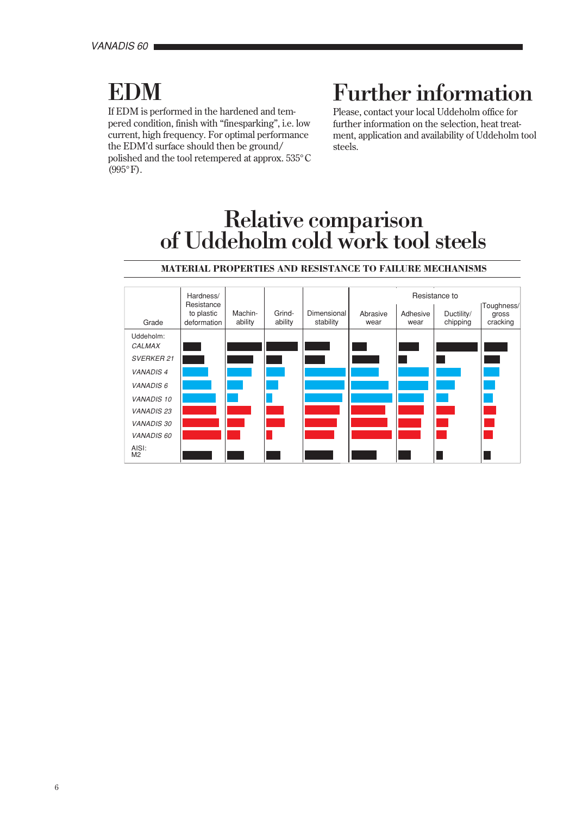# **EDM**

If EDM is performed in the hardened and tempered condition, finish with "finesparking", i.e. low current, high frequency. For optimal performance the EDM'd surface should then be ground/ polished and the tool retempered at approx. 535°C (995°F).

# Further information

Please, contact your local Uddeholm office for further information on the selection, heat treatment, application and availability of Uddeholm tool steels.

# Relative comparison<br>of Uddeholm cold work tool steels

|                         | Hardness/                               |                    |                   |                          | Resistance to    |                  |                        |                                 |
|-------------------------|-----------------------------------------|--------------------|-------------------|--------------------------|------------------|------------------|------------------------|---------------------------------|
| Grade                   | Resistance<br>to plastic<br>deformation | Machin-<br>ability | Grind-<br>ability | Dimensional<br>stability | Abrasive<br>wear | Adhesive<br>wear | Ductility/<br>chipping | Toughness/<br>gross<br>cracking |
| Uddeholm:<br>CALMAX     |                                         |                    |                   |                          |                  |                  |                        |                                 |
| <b>SVERKER 21</b>       |                                         |                    |                   |                          |                  |                  |                        |                                 |
| <b>VANADIS4</b>         |                                         |                    |                   |                          |                  |                  |                        |                                 |
| <b>VANADIS 6</b>        |                                         |                    |                   |                          |                  |                  |                        |                                 |
| <b>VANADIS 10</b>       |                                         |                    |                   |                          |                  |                  |                        |                                 |
| <b>VANADIS 23</b>       |                                         |                    |                   |                          |                  |                  |                        |                                 |
| <b>VANADIS 30</b>       |                                         |                    |                   |                          |                  |                  |                        |                                 |
| <b>VANADIS 60</b>       |                                         |                    |                   |                          |                  |                  |                        |                                 |
| AISI:<br>M <sub>2</sub> |                                         |                    |                   |                          |                  |                  |                        |                                 |

# **MATERIAL PROPERTIES AND RESISTANCE TO FAILURE MECHANISMS**